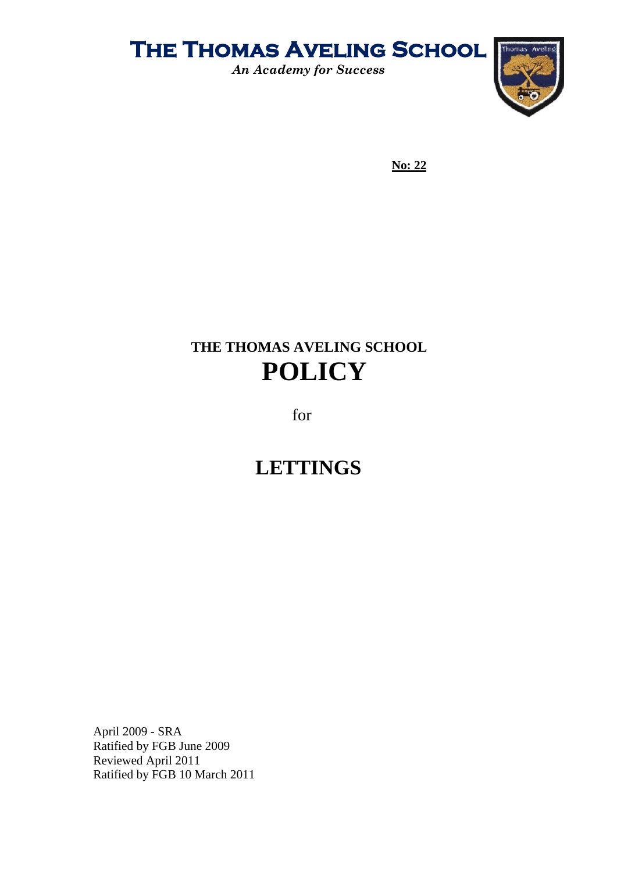

*An Academy for Success*



**No: 22**

### **THE THOMAS AVELING SCHOOL POLICY**

for

### **LETTINGS**

April 2009 - SRA Ratified by FGB June 2009 Reviewed April 2011 Ratified by FGB 10 March 2011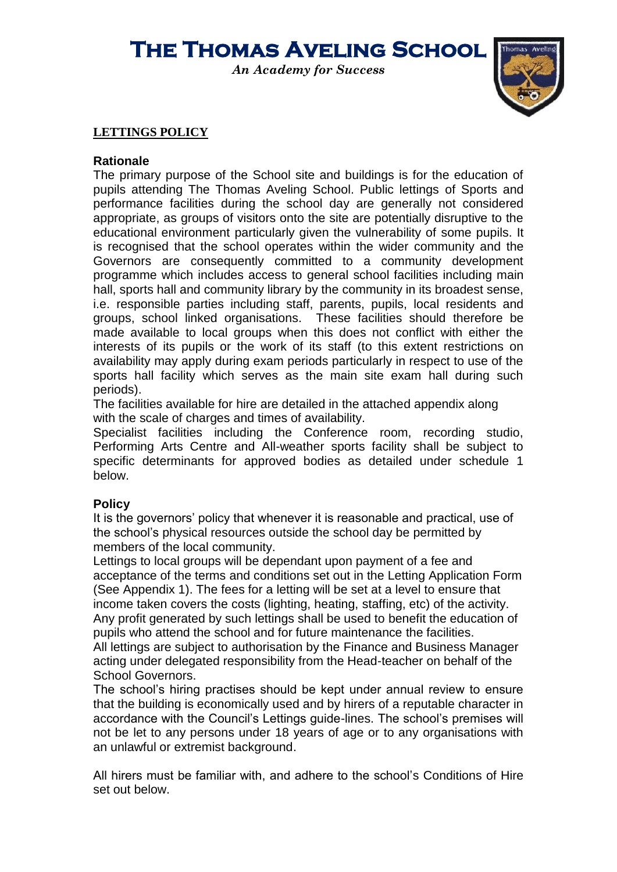*An Academy for Success*



#### **LETTINGS POLICY**

#### **Rationale**

The primary purpose of the School site and buildings is for the education of pupils attending The Thomas Aveling School. Public lettings of Sports and performance facilities during the school day are generally not considered appropriate, as groups of visitors onto the site are potentially disruptive to the educational environment particularly given the vulnerability of some pupils. It is recognised that the school operates within the wider community and the Governors are consequently committed to a community development programme which includes access to general school facilities including main hall, sports hall and community library by the community in its broadest sense, i.e. responsible parties including staff, parents, pupils, local residents and groups, school linked organisations. These facilities should therefore be made available to local groups when this does not conflict with either the interests of its pupils or the work of its staff (to this extent restrictions on availability may apply during exam periods particularly in respect to use of the sports hall facility which serves as the main site exam hall during such periods).

The facilities available for hire are detailed in the attached appendix along with the scale of charges and times of availability.

Specialist facilities including the Conference room, recording studio, Performing Arts Centre and All-weather sports facility shall be subject to specific determinants for approved bodies as detailed under schedule 1 below.

#### **Policy**

It is the governors' policy that whenever it is reasonable and practical, use of the school's physical resources outside the school day be permitted by members of the local community.

Lettings to local groups will be dependant upon payment of a fee and acceptance of the terms and conditions set out in the Letting Application Form (See Appendix 1). The fees for a letting will be set at a level to ensure that income taken covers the costs (lighting, heating, staffing, etc) of the activity. Any profit generated by such lettings shall be used to benefit the education of pupils who attend the school and for future maintenance the facilities. All lettings are subject to authorisation by the Finance and Business Manager acting under delegated responsibility from the Head-teacher on behalf of the

School Governors.

The school's hiring practises should be kept under annual review to ensure that the building is economically used and by hirers of a reputable character in accordance with the Council's Lettings guide-lines. The school's premises will not be let to any persons under 18 years of age or to any organisations with an unlawful or extremist background.

All hirers must be familiar with, and adhere to the school's Conditions of Hire set out below.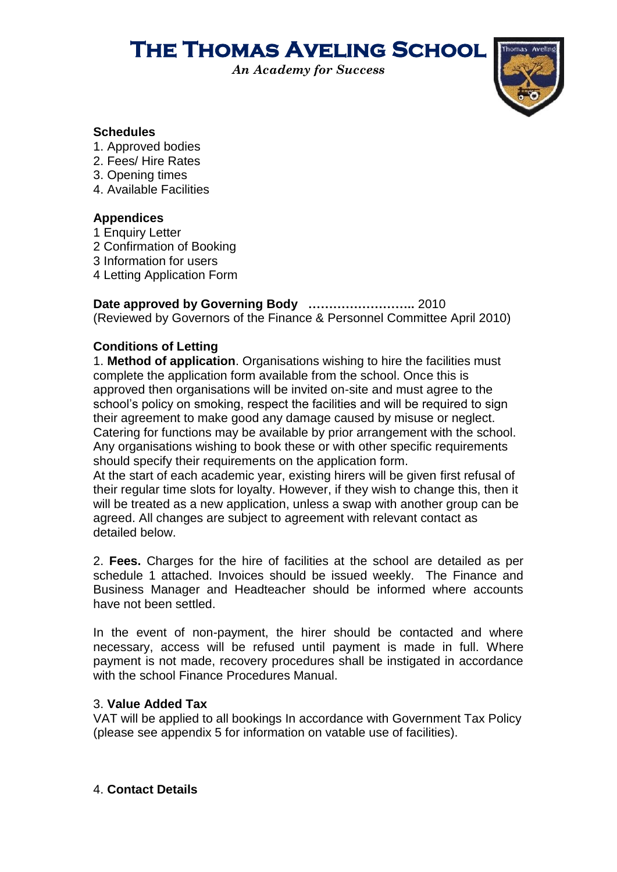*An Academy for Success*



#### **Schedules**

- 1. Approved bodies
- 2. Fees/ Hire Rates
- 3. Opening times
- 4. Available Facilities

### **Appendices**

- 1 Enquiry Letter
- 2 Confirmation of Booking
- 3 Information for users
- 4 Letting Application Form

**Date approved by Governing Body ……………………..** 2010 (Reviewed by Governors of the Finance & Personnel Committee April 2010)

### **Conditions of Letting**

1. **Method of application**. Organisations wishing to hire the facilities must complete the application form available from the school. Once this is approved then organisations will be invited on-site and must agree to the school's policy on smoking, respect the facilities and will be required to sign their agreement to make good any damage caused by misuse or neglect. Catering for functions may be available by prior arrangement with the school. Any organisations wishing to book these or with other specific requirements should specify their requirements on the application form.

At the start of each academic year, existing hirers will be given first refusal of their regular time slots for loyalty. However, if they wish to change this, then it will be treated as a new application, unless a swap with another group can be agreed. All changes are subject to agreement with relevant contact as detailed below.

2. **Fees.** Charges for the hire of facilities at the school are detailed as per schedule 1 attached. Invoices should be issued weekly. The Finance and Business Manager and Headteacher should be informed where accounts have not been settled.

In the event of non-payment, the hirer should be contacted and where necessary, access will be refused until payment is made in full. Where payment is not made, recovery procedures shall be instigated in accordance with the school Finance Procedures Manual.

### 3. **Value Added Tax**

VAT will be applied to all bookings In accordance with Government Tax Policy (please see appendix 5 for information on vatable use of facilities).

### 4. **Contact Details**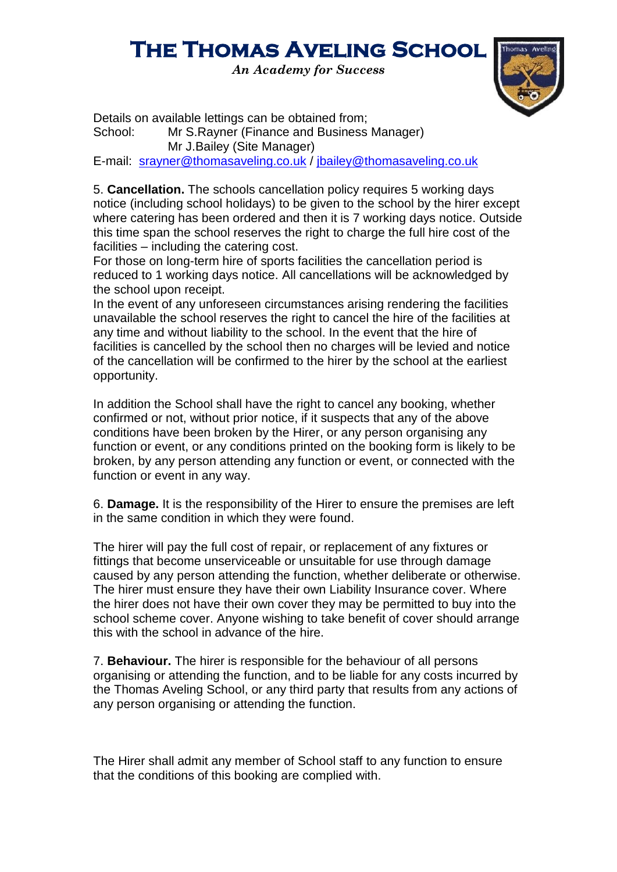*An Academy for Success*



Details on available lettings can be obtained from; School: Mr S.Rayner (Finance and Business Manager) Mr J.Bailey (Site Manager)

E-mail: [srayner@thomasaveling.co.uk](mailto:srayner@thomasaveling.co.uk) / [jbailey@thomasaveling.co.uk](mailto:jbailey@thomasaveling.co.uk)

5. **Cancellation.** The schools cancellation policy requires 5 working days notice (including school holidays) to be given to the school by the hirer except where catering has been ordered and then it is 7 working days notice. Outside this time span the school reserves the right to charge the full hire cost of the facilities – including the catering cost.

For those on long-term hire of sports facilities the cancellation period is reduced to 1 working days notice. All cancellations will be acknowledged by the school upon receipt.

In the event of any unforeseen circumstances arising rendering the facilities unavailable the school reserves the right to cancel the hire of the facilities at any time and without liability to the school. In the event that the hire of facilities is cancelled by the school then no charges will be levied and notice of the cancellation will be confirmed to the hirer by the school at the earliest opportunity.

In addition the School shall have the right to cancel any booking, whether confirmed or not, without prior notice, if it suspects that any of the above conditions have been broken by the Hirer, or any person organising any function or event, or any conditions printed on the booking form is likely to be broken, by any person attending any function or event, or connected with the function or event in any way.

6. **Damage.** It is the responsibility of the Hirer to ensure the premises are left in the same condition in which they were found.

The hirer will pay the full cost of repair, or replacement of any fixtures or fittings that become unserviceable or unsuitable for use through damage caused by any person attending the function, whether deliberate or otherwise. The hirer must ensure they have their own Liability Insurance cover. Where the hirer does not have their own cover they may be permitted to buy into the school scheme cover. Anyone wishing to take benefit of cover should arrange this with the school in advance of the hire.

7. **Behaviour.** The hirer is responsible for the behaviour of all persons organising or attending the function, and to be liable for any costs incurred by the Thomas Aveling School, or any third party that results from any actions of any person organising or attending the function.

The Hirer shall admit any member of School staff to any function to ensure that the conditions of this booking are complied with.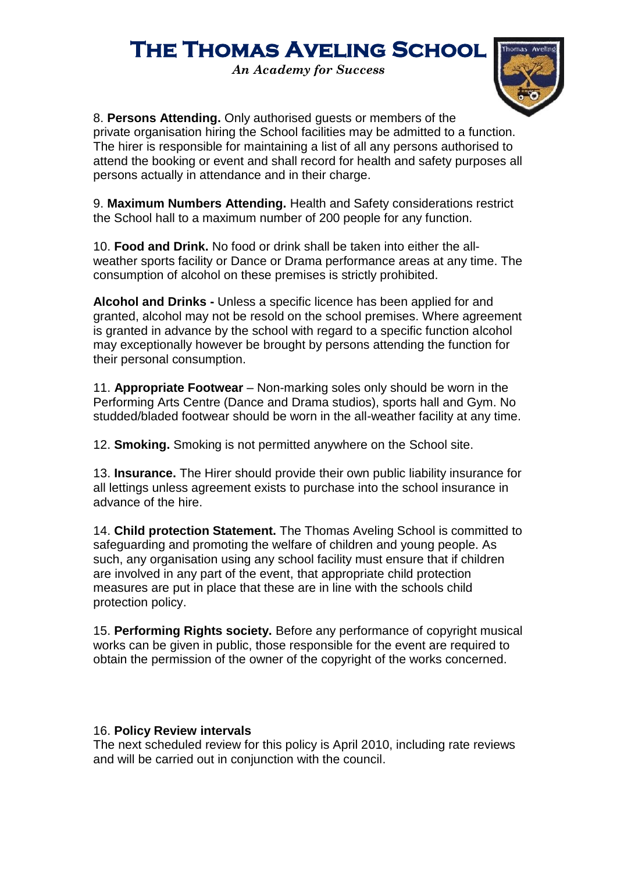*An Academy for Success*



8. **Persons Attending.** Only authorised guests or members of the private organisation hiring the School facilities may be admitted to a function. The hirer is responsible for maintaining a list of all any persons authorised to attend the booking or event and shall record for health and safety purposes all persons actually in attendance and in their charge.

9. **Maximum Numbers Attending.** Health and Safety considerations restrict the School hall to a maximum number of 200 people for any function.

10. **Food and Drink.** No food or drink shall be taken into either the allweather sports facility or Dance or Drama performance areas at any time. The consumption of alcohol on these premises is strictly prohibited.

**Alcohol and Drinks -** Unless a specific licence has been applied for and granted, alcohol may not be resold on the school premises. Where agreement is granted in advance by the school with regard to a specific function alcohol may exceptionally however be brought by persons attending the function for their personal consumption.

11. **Appropriate Footwear** – Non-marking soles only should be worn in the Performing Arts Centre (Dance and Drama studios), sports hall and Gym. No studded/bladed footwear should be worn in the all-weather facility at any time.

12. **Smoking.** Smoking is not permitted anywhere on the School site.

13. **Insurance.** The Hirer should provide their own public liability insurance for all lettings unless agreement exists to purchase into the school insurance in advance of the hire.

14. **Child protection Statement.** The Thomas Aveling School is committed to safeguarding and promoting the welfare of children and young people. As such, any organisation using any school facility must ensure that if children are involved in any part of the event, that appropriate child protection measures are put in place that these are in line with the schools child protection policy.

15. **Performing Rights society.** Before any performance of copyright musical works can be given in public, those responsible for the event are required to obtain the permission of the owner of the copyright of the works concerned.

#### 16. **Policy Review intervals**

The next scheduled review for this policy is April 2010, including rate reviews and will be carried out in conjunction with the council.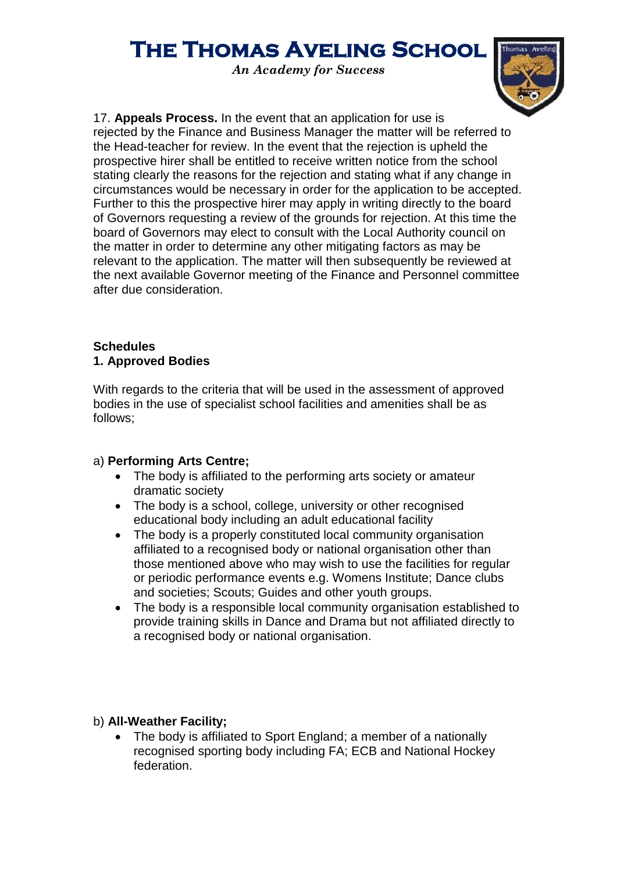*An Academy for Success*



17. **Appeals Process.** In the event that an application for use is rejected by the Finance and Business Manager the matter will be referred to the Head-teacher for review. In the event that the rejection is upheld the prospective hirer shall be entitled to receive written notice from the school stating clearly the reasons for the rejection and stating what if any change in circumstances would be necessary in order for the application to be accepted. Further to this the prospective hirer may apply in writing directly to the board of Governors requesting a review of the grounds for rejection. At this time the board of Governors may elect to consult with the Local Authority council on the matter in order to determine any other mitigating factors as may be relevant to the application. The matter will then subsequently be reviewed at the next available Governor meeting of the Finance and Personnel committee after due consideration.

#### **Schedules 1. Approved Bodies**

With regards to the criteria that will be used in the assessment of approved bodies in the use of specialist school facilities and amenities shall be as follows;

### a) **Performing Arts Centre;**

- The body is affiliated to the performing arts society or amateur dramatic society
- The body is a school, college, university or other recognised educational body including an adult educational facility
- The body is a properly constituted local community organisation affiliated to a recognised body or national organisation other than those mentioned above who may wish to use the facilities for regular or periodic performance events e.g. Womens Institute; Dance clubs and societies; Scouts; Guides and other youth groups.
- The body is a responsible local community organisation established to provide training skills in Dance and Drama but not affiliated directly to a recognised body or national organisation.

### b) **All-Weather Facility;**

• The body is affiliated to Sport England; a member of a nationally recognised sporting body including FA; ECB and National Hockey federation.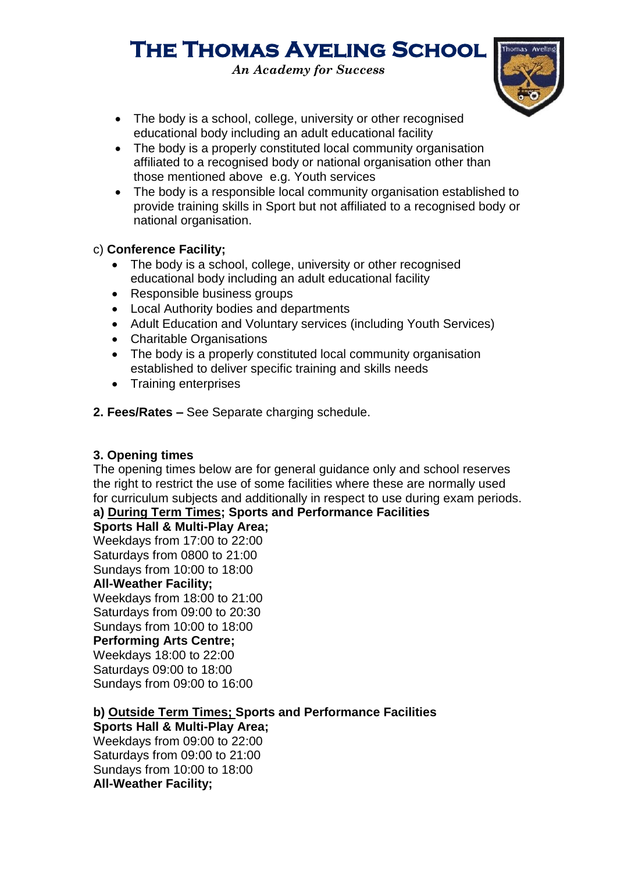*An Academy for Success*



- The body is a school, college, university or other recognised educational body including an adult educational facility
- The body is a properly constituted local community organisation affiliated to a recognised body or national organisation other than those mentioned above e.g. Youth services
- The body is a responsible local community organisation established to provide training skills in Sport but not affiliated to a recognised body or national organisation.

### c) **Conference Facility;**

- The body is a school, college, university or other recognised educational body including an adult educational facility
- Responsible business groups
- Local Authority bodies and departments
- Adult Education and Voluntary services (including Youth Services)
- Charitable Organisations
- The body is a properly constituted local community organisation established to deliver specific training and skills needs
- Training enterprises
- **2. Fees/Rates –** See Separate charging schedule.

### **3. Opening times**

The opening times below are for general guidance only and school reserves the right to restrict the use of some facilities where these are normally used for curriculum subjects and additionally in respect to use during exam periods.

### **a) During Term Times; Sports and Performance Facilities**

### **Sports Hall & Multi-Play Area;**

Weekdays from 17:00 to 22:00 Saturdays from 0800 to 21:00 Sundays from 10:00 to 18:00 **All-Weather Facility;** Weekdays from 18:00 to 21:00 Saturdays from 09:00 to 20:30 Sundays from 10:00 to 18:00 **Performing Arts Centre;** Weekdays 18:00 to 22:00 Saturdays 09:00 to 18:00 Sundays from 09:00 to 16:00

#### **b) Outside Term Times; Sports and Performance Facilities Sports Hall & Multi-Play Area;**

Weekdays from 09:00 to 22:00 Saturdays from 09:00 to 21:00 Sundays from 10:00 to 18:00 **All-Weather Facility;**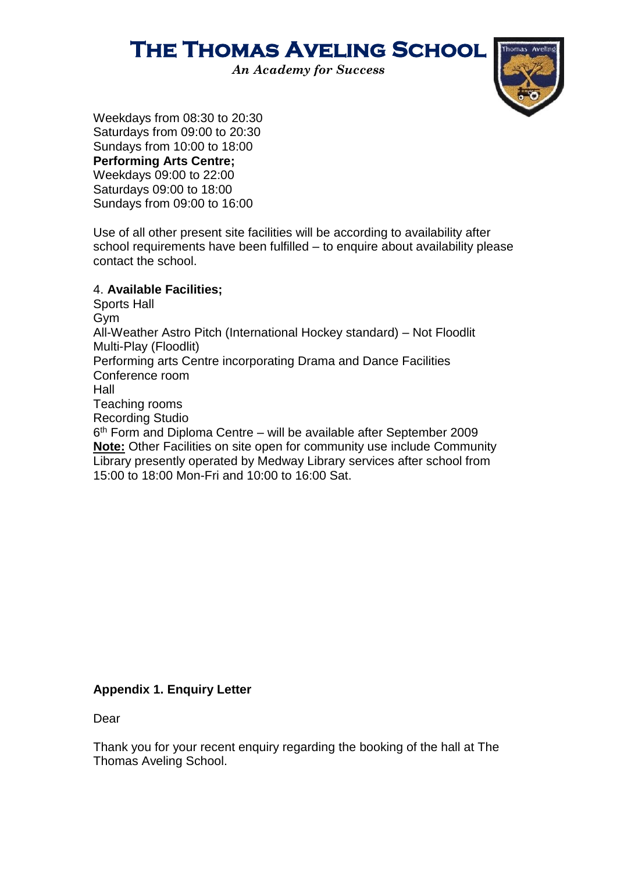*An Academy for Success*



Weekdays from 08:30 to 20:30 Saturdays from 09:00 to 20:30 Sundays from 10:00 to 18:00 **Performing Arts Centre;** Weekdays 09:00 to 22:00 Saturdays 09:00 to 18:00 Sundays from 09:00 to 16:00

Use of all other present site facilities will be according to availability after school requirements have been fulfilled – to enquire about availability please contact the school.

#### 4. **Available Facilities;**

Sports Hall Gym All-Weather Astro Pitch (International Hockey standard) – Not Floodlit Multi-Play (Floodlit) Performing arts Centre incorporating Drama and Dance Facilities Conference room Hall Teaching rooms Recording Studio 6 th Form and Diploma Centre – will be available after September 2009 **Note:** Other Facilities on site open for community use include Community Library presently operated by Medway Library services after school from

15:00 to 18:00 Mon-Fri and 10:00 to 16:00 Sat.

### **Appendix 1. Enquiry Letter**

Dear

Thank you for your recent enquiry regarding the booking of the hall at The Thomas Aveling School.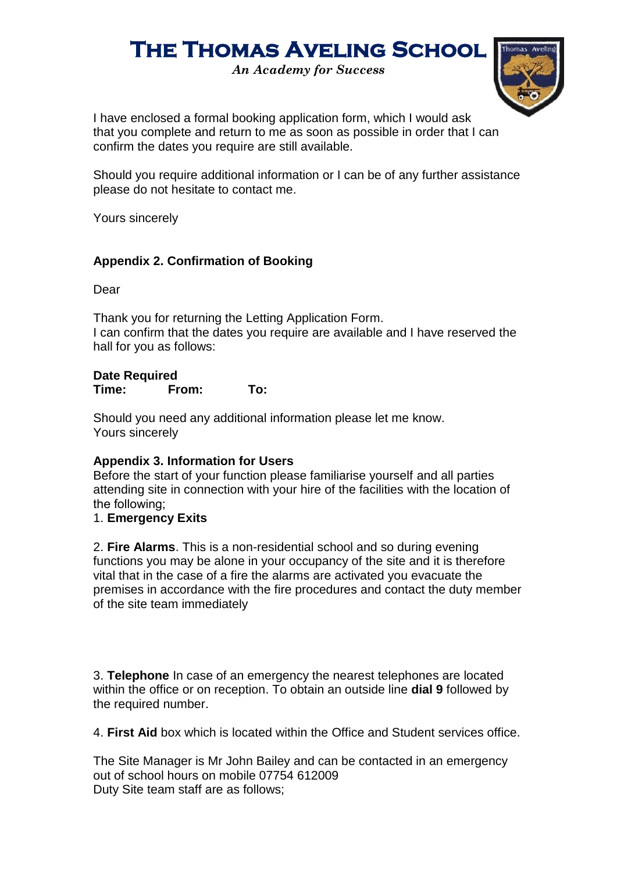*An Academy for Success*



I have enclosed a formal booking application form, which I would ask that you complete and return to me as soon as possible in order that I can confirm the dates you require are still available.

Should you require additional information or I can be of any further assistance please do not hesitate to contact me.

Yours sincerely

### **Appendix 2. Confirmation of Booking**

Dear

Thank you for returning the Letting Application Form. I can confirm that the dates you require are available and I have reserved the hall for you as follows:

### **Date Required**

**Time: From: To:**

Should you need any additional information please let me know. Yours sincerely

### **Appendix 3. Information for Users**

Before the start of your function please familiarise yourself and all parties attending site in connection with your hire of the facilities with the location of the following;

### 1. **Emergency Exits**

2. **Fire Alarms**. This is a non-residential school and so during evening functions you may be alone in your occupancy of the site and it is therefore vital that in the case of a fire the alarms are activated you evacuate the premises in accordance with the fire procedures and contact the duty member of the site team immediately

3. **Telephone** In case of an emergency the nearest telephones are located within the office or on reception. To obtain an outside line **dial 9** followed by the required number.

4. **First Aid** box which is located within the Office and Student services office.

The Site Manager is Mr John Bailey and can be contacted in an emergency out of school hours on mobile 07754 612009 Duty Site team staff are as follows;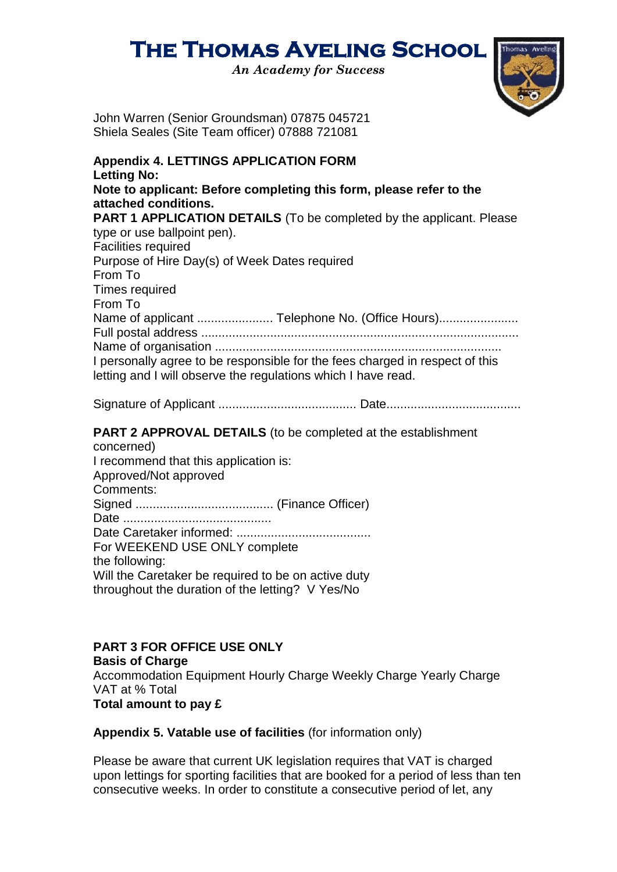*An Academy for Success*



John Warren (Senior Groundsman) 07875 045721 Shiela Seales (Site Team officer) 07888 721081

| <b>Appendix 4. LETTINGS APPLICATION FORM</b><br><b>Letting No:</b>                                                                                                                                          |
|-------------------------------------------------------------------------------------------------------------------------------------------------------------------------------------------------------------|
| Note to applicant: Before completing this form, please refer to the<br>attached conditions.                                                                                                                 |
| <b>PART 1 APPLICATION DETAILS</b> (To be completed by the applicant. Please<br>type or use ballpoint pen).<br><b>Facilities required</b>                                                                    |
| Purpose of Hire Day(s) of Week Dates required<br>From To<br><b>Times required</b>                                                                                                                           |
| From To<br>Name of applicant  Telephone No. (Office Hours)<br>I personally agree to be responsible for the fees charged in respect of this<br>letting and I will observe the regulations which I have read. |
|                                                                                                                                                                                                             |
| <b>PART 2 APPROVAL DETAILS</b> (to be completed at the establishment<br>concerned)                                                                                                                          |

I recommend that this application is: Approved/Not approved Comments: Signed ........................................ (Finance Officer) Date ........................................... Date Caretaker informed: ....................................... For WEEKEND USE ONLY complete the following: Will the Caretaker be required to be on active duty throughout the duration of the letting? V Yes/No

### **PART 3 FOR OFFICE USE ONLY**

**Basis of Charge** Accommodation Equipment Hourly Charge Weekly Charge Yearly Charge VAT at % Total **Total amount to pay £**

**Appendix 5. Vatable use of facilities** (for information only)

Please be aware that current UK legislation requires that VAT is charged upon lettings for sporting facilities that are booked for a period of less than ten consecutive weeks. In order to constitute a consecutive period of let, any